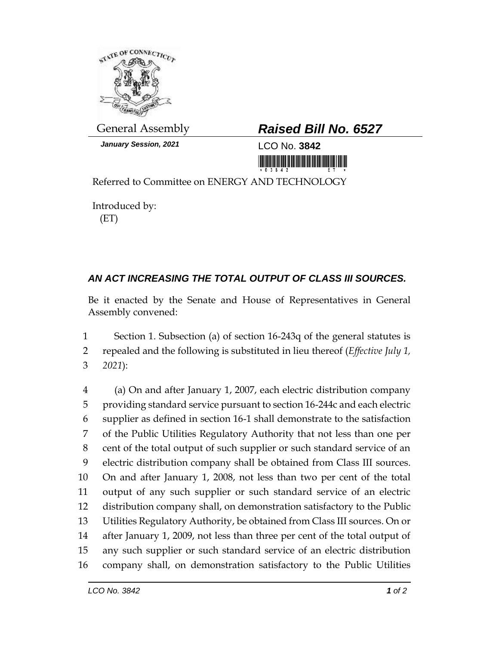

*January Session, 2021* LCO No. **3842**

## General Assembly *Raised Bill No. 6527*

<u> III MARIJINI MARIJI MARIJI MARIJI MARIJI MARIJI MARIJI MARIJI MARIJI MARIJI MARIJI MARIJI MARIJI MARIJI MARIJ</u>

Referred to Committee on ENERGY AND TECHNOLOGY

Introduced by: (ET)

## *AN ACT INCREASING THE TOTAL OUTPUT OF CLASS III SOURCES.*

Be it enacted by the Senate and House of Representatives in General Assembly convened:

 Section 1. Subsection (a) of section 16-243q of the general statutes is repealed and the following is substituted in lieu thereof (*Effective July 1, 2021*):

 (a) On and after January 1, 2007, each electric distribution company providing standard service pursuant to section 16-244c and each electric supplier as defined in section 16-1 shall demonstrate to the satisfaction of the Public Utilities Regulatory Authority that not less than one per cent of the total output of such supplier or such standard service of an electric distribution company shall be obtained from Class III sources. On and after January 1, 2008, not less than two per cent of the total output of any such supplier or such standard service of an electric distribution company shall, on demonstration satisfactory to the Public Utilities Regulatory Authority, be obtained from Class III sources. On or after January 1, 2009, not less than three per cent of the total output of any such supplier or such standard service of an electric distribution company shall, on demonstration satisfactory to the Public Utilities